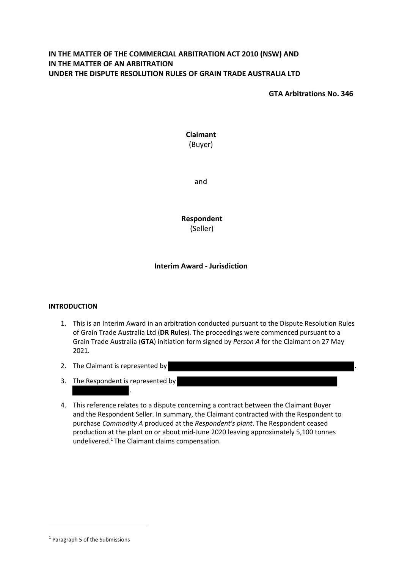# **IN THE MATTER OF THE COMMERCIAL ARBITRATION ACT 2010 (NSW) AND IN THE MATTER OF AN ARBITRATION UNDER THE DISPUTE RESOLUTION RULES OF GRAIN TRADE AUSTRALIA LTD**

**GTA Arbitrations No. 346**

**Claimant** (Buyer)

and

**Respondent** (Seller)

## **Interim Award - Jurisdiction**

## **INTRODUCTION**

- 1. This is an Interim Award in an arbitration conducted pursuant to the Dispute Resolution Rules of Grain Trade Australia Ltd (**DR Rules**). The proceedings were commenced pursuant to a Grain Trade Australia (**GTA**) initiation form signed by *Person A* for the Claimant on 27 May 2021.
- 2. The Claimant is represented by
- 3. The Respondent is represented by

.

4. This reference relates to a dispute concerning a contract between the Claimant Buyer and the Respondent Seller. In summary, the Claimant contracted with the Respondent to purchase *Commodity A* produced at the *Respondent's plant*. The Respondent ceased production at the plant on or about mid-June 2020 leaving approximately 5,100 tonnes undelivered.[1](#page-0-0) The Claimant claims compensation.

<span id="page-0-0"></span><sup>1</sup> Paragraph 5 of the Submissions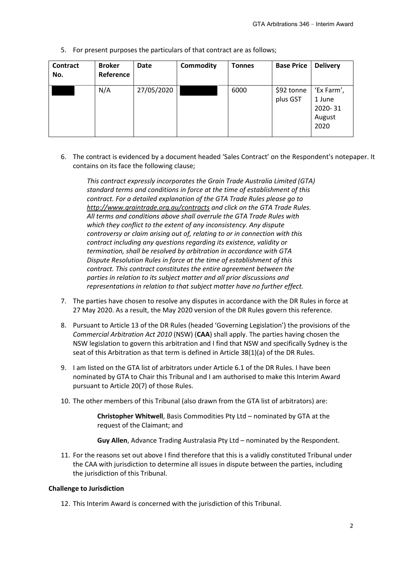5. For present purposes the particulars of that contract are as follows;

| Contract<br>No. | <b>Broker</b><br>Reference | <b>Date</b> | <b>Commodity</b> | <b>Tonnes</b> | <b>Base Price</b>      | <b>Delivery</b>                                   |
|-----------------|----------------------------|-------------|------------------|---------------|------------------------|---------------------------------------------------|
|                 | N/A                        | 27/05/2020  |                  | 6000          | \$92 tonne<br>plus GST | 'Ex Farm',<br>1 June<br>2020-31<br>August<br>2020 |

6. The contract is evidenced by a document headed 'Sales Contract' on the Respondent's notepaper. It contains on its face the following clause;

*This contract expressly incorporates the Grain Trade Australia Limited (GTA) standard terms and conditions in force at the time of establishment of this contract. For a detailed explanation of the GTA Trade Rules please go to <http://www.graintrade.org.au/contracts> and click on the GTA Trade Rules. All terms and conditions above shall overrule the GTA Trade Rules with which they conflict to the extent of any inconsistency. Any dispute controversy or claim arising out of, relating to or in connection with this contract including any questions regarding its existence, validity or termination, shall be resolved by arbitration in accordance with GTA Dispute Resolution Rules in force at the time of establishment of this contract. This contract constitutes the entire agreement between the parties in relation to its subject matter and all prior discussions and representations in relation to that subject matter have no further effect.* 

- 7. The parties have chosen to resolve any disputes in accordance with the DR Rules in force at 27 May 2020. As a result, the May 2020 version of the DR Rules govern this reference.
- 8. Pursuant to Article 13 of the DR Rules (headed 'Governing Legislation') the provisions of the *Commercial Arbitration Act 2010* (NSW) (**CAA**) shall apply. The parties having chosen the NSW legislation to govern this arbitration and I find that NSW and specifically Sydney is the seat of this Arbitration as that term is defined in Article 38(1)(a) of the DR Rules.
- 9. I am listed on the GTA list of arbitrators under Article 6.1 of the DR Rules. I have been nominated by GTA to Chair this Tribunal and I am authorised to make this Interim Award pursuant to Article 20(7) of those Rules.
- 10. The other members of this Tribunal (also drawn from the GTA list of arbitrators) are:

**Christopher Whitwell**, Basis Commodities Pty Ltd – nominated by GTA at the request of the Claimant; and

**Guy Allen**, Advance Trading Australasia Pty Ltd – nominated by the Respondent.

11. For the reasons set out above I find therefore that this is a validly constituted Tribunal under the CAA with jurisdiction to determine all issues in dispute between the parties, including the jurisdiction of this Tribunal.

## **Challenge to Jurisdiction**

12. This Interim Award is concerned with the jurisdiction of this Tribunal.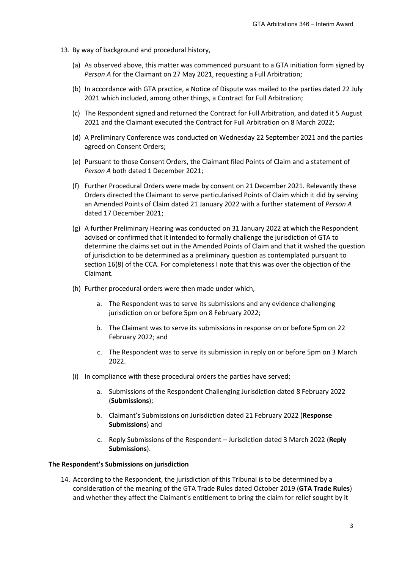- 13. By way of background and procedural history,
	- (a) As observed above, this matter was commenced pursuant to a GTA initiation form signed by *Person A* for the Claimant on 27 May 2021, requesting a Full Arbitration;
	- (b) In accordance with GTA practice, a Notice of Dispute was mailed to the parties dated 22 July 2021 which included, among other things, a Contract for Full Arbitration;
	- (c) The Respondent signed and returned the Contract for Full Arbitration, and dated it 5 August 2021 and the Claimant executed the Contract for Full Arbitration on 8 March 2022;
	- (d) A Preliminary Conference was conducted on Wednesday 22 September 2021 and the parties agreed on Consent Orders;
	- (e) Pursuant to those Consent Orders, the Claimant filed Points of Claim and a statement of *Person A* both dated 1 December 2021;
	- (f) Further Procedural Orders were made by consent on 21 December 2021. Relevantly these Orders directed the Claimant to serve particularised Points of Claim which it did by serving an Amended Points of Claim dated 21 January 2022 with a further statement of *Person A* dated 17 December 2021;
	- (g) A further Preliminary Hearing was conducted on 31 January 2022 at which the Respondent advised or confirmed that it intended to formally challenge the jurisdiction of GTA to determine the claims set out in the Amended Points of Claim and that it wished the question of jurisdiction to be determined as a preliminary question as contemplated pursuant to section 16(8) of the CCA. For completeness I note that this was over the objection of the Claimant.
	- (h) Further procedural orders were then made under which,
		- a. The Respondent was to serve its submissions and any evidence challenging jurisdiction on or before 5pm on 8 February 2022;
		- b. The Claimant was to serve its submissions in response on or before 5pm on 22 February 2022; and
		- c. The Respondent was to serve its submission in reply on or before 5pm on 3 March 2022.
	- (i) In compliance with these procedural orders the parties have served;
		- a. Submissions of the Respondent Challenging Jurisdiction dated 8 February 2022 (**Submissions**);
		- b. Claimant's Submissions on Jurisdiction dated 21 February 2022 (**Response Submissions**) and
		- c. Reply Submissions of the Respondent Jurisdiction dated 3 March 2022 (**Reply Submissions**).

#### **The Respondent's Submissions on jurisdiction**

14. According to the Respondent, the jurisdiction of this Tribunal is to be determined by a consideration of the meaning of the GTA Trade Rules dated October 2019 (**GTA Trade Rules**) and whether they affect the Claimant's entitlement to bring the claim for relief sought by it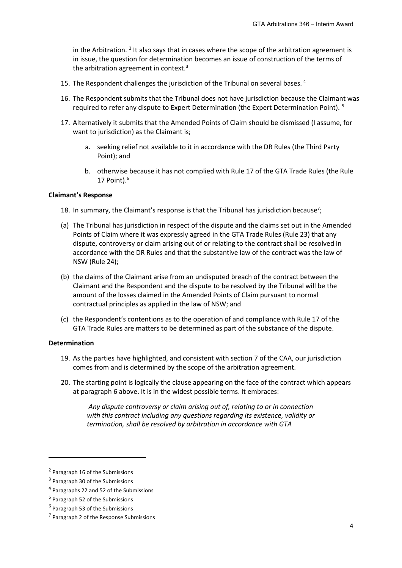in the Arbitration.  $2$  It also says that in cases where the scope of the arbitration agreement is in issue, the question for determination becomes an issue of construction of the terms of the arbitration agreement in context.<sup>[3](#page-3-1)</sup>

- 15. The Respondent challenges the jurisdiction of the Tribunal on several bases. [4](#page-3-2)
- 16. The Respondent submits that the Tribunal does not have jurisdiction because the Claimant was required to refer any dispute to Expert Determination (the Expert Determination Point). [5](#page-3-3)
- 17. Alternatively it submits that the Amended Points of Claim should be dismissed (I assume, for want to jurisdiction) as the Claimant is;
	- a. seeking relief not available to it in accordance with the DR Rules (the Third Party Point); and
	- b. otherwise because it has not complied with Rule 17 of the GTA Trade Rules (the Rule 17 Point). [6](#page-3-4)

#### **Claimant's Response**

- 18. In summary, the Claimant's response is that the Tribunal has jurisdiction because<sup>[7](#page-3-5)</sup>;
- (a) The Tribunal has jurisdiction in respect of the dispute and the claims set out in the Amended Points of Claim where it was expressly agreed in the GTA Trade Rules (Rule 23) that any dispute, controversy or claim arising out of or relating to the contract shall be resolved in accordance with the DR Rules and that the substantive law of the contract was the law of NSW (Rule 24);
- (b) the claims of the Claimant arise from an undisputed breach of the contract between the Claimant and the Respondent and the dispute to be resolved by the Tribunal will be the amount of the losses claimed in the Amended Points of Claim pursuant to normal contractual principles as applied in the law of NSW; and
- (c) the Respondent's contentions as to the operation of and compliance with Rule 17 of the GTA Trade Rules are matters to be determined as part of the substance of the dispute.

#### **Determination**

- 19. As the parties have highlighted, and consistent with section 7 of the CAA, our jurisdiction comes from and is determined by the scope of the arbitration agreement.
- 20. The starting point is logically the clause appearing on the face of the contract which appears at paragraph 6 above. It is in the widest possible terms. It embraces:

*Any dispute controversy or claim arising out of, relating to or in connection with this contract including any questions regarding its existence, validity or termination, shall be resolved by arbitration in accordance with GTA* 

<span id="page-3-0"></span><sup>2</sup> Paragraph 16 of the Submissions

<span id="page-3-1"></span><sup>3</sup> Paragraph 30 of the Submissions

<span id="page-3-2"></span><sup>4</sup> Paragraphs 22 and 52 of the Submissions

<span id="page-3-3"></span><sup>5</sup> Paragraph 52 of the Submissions

<span id="page-3-4"></span><sup>6</sup> Paragraph 53 of the Submissions

<span id="page-3-5"></span><sup>&</sup>lt;sup>7</sup> Paragraph 2 of the Response Submissions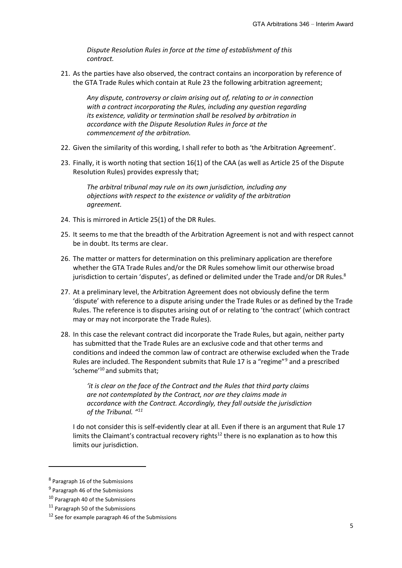*Dispute Resolution Rules in force at the time of establishment of this contract.*

21. As the parties have also observed, the contract contains an incorporation by reference of the GTA Trade Rules which contain at Rule 23 the following arbitration agreement;

*Any dispute, controversy or claim arising out of, relating to or in connection with a contract incorporating the Rules, including any question regarding its existence, validity or termination shall be resolved by arbitration in accordance with the Dispute Resolution Rules in force at the commencement of the arbitration.*

- 22. Given the similarity of this wording, I shall refer to both as 'the Arbitration Agreement'.
- 23. Finally, it is worth noting that section 16(1) of the CAA (as well as Article 25 of the Dispute Resolution Rules) provides expressly that;

*The arbitral tribunal may rule on its own jurisdiction, including any objections with respect to the existence or validity of the arbitration agreement.* 

- 24. This is mirrored in Article 25(1) of the DR Rules.
- 25. It seems to me that the breadth of the Arbitration Agreement is not and with respect cannot be in doubt. Its terms are clear.
- 26. The matter or matters for determination on this preliminary application are therefore whether the GTA Trade Rules and/or the DR Rules somehow limit our otherwise broad jurisdiction to certain 'disputes', as defined or delimited under the Trade and/or DR Rules.<sup>[8](#page-4-0)</sup>
- 27. At a preliminary level, the Arbitration Agreement does not obviously define the term 'dispute' with reference to a dispute arising under the Trade Rules or as defined by the Trade Rules. The reference is to disputes arising out of or relating to 'the contract' (which contract may or may not incorporate the Trade Rules).
- 28. In this case the relevant contract did incorporate the Trade Rules, but again, neither party has submitted that the Trade Rules are an exclusive code and that other terms and conditions and indeed the common law of contract are otherwise excluded when the Trade Rules are included. The Respondent submits that Rule 17 is a "regime"<sup>[9](#page-4-1)</sup> and a prescribed 'scheme'[10](#page-4-2) and submits that;

*'it is clear on the face of the Contract and the Rules that third party claims are not contemplated by the Contract, nor are they claims made in accordance with the Contract. Accordingly, they fall outside the jurisdiction of the Tribunal. "[11](#page-4-3)*

I do not consider this is self-evidently clear at all. Even if there is an argument that Rule 17 limits the Claimant's contractual recovery rights<sup>[12](#page-4-4)</sup> there is no explanation as to how this limits our jurisdiction.

<span id="page-4-0"></span><sup>8</sup> Paragraph 16 of the Submissions

<span id="page-4-1"></span><sup>9</sup> Paragraph 46 of the Submissions

<span id="page-4-2"></span><sup>10</sup> Paragraph 40 of the Submissions

<span id="page-4-3"></span><sup>&</sup>lt;sup>11</sup> Paragraph 50 of the Submissions

<span id="page-4-4"></span> $12$  See for example paragraph 46 of the Submissions